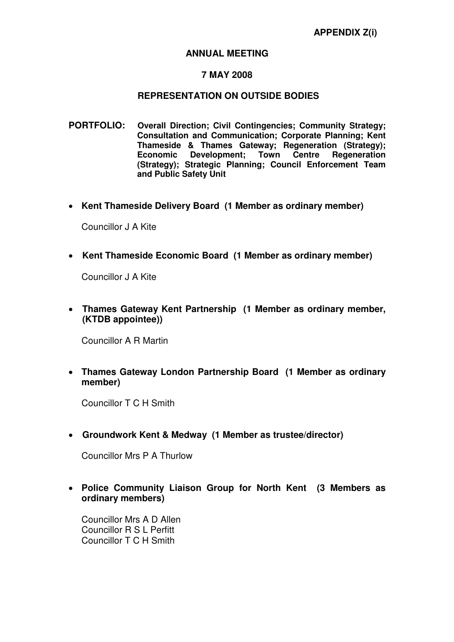### **ANNUAL MEETING**

### **7 MAY 2008**

### **REPRESENTATION ON OUTSIDE BODIES**

- **PORTFOLIO: Overall Direction; Civil Contingencies; Community Strategy; Consultation and Communication; Corporate Planning; Kent Thameside & Thames Gateway; Regeneration (Strategy); Economic Development: (Strategy); Strategic Planning; Council Enforcement Team and Public Safety Unit**
- **Kent Thameside Delivery Board (1 Member as ordinary member)**

Councillor J A Kite

• **Kent Thameside Economic Board (1 Member as ordinary member)** 

Councillor J A Kite

• **Thames Gateway Kent Partnership (1 Member as ordinary member, (KTDB appointee))** 

Councillor A R Martin

• **Thames Gateway London Partnership Board (1 Member as ordinary member)** 

Councillor T C H Smith

• **Groundwork Kent & Medway (1 Member as trustee/director)** 

Councillor Mrs P A Thurlow

• **Police Community Liaison Group for North Kent (3 Members as ordinary members)** 

Councillor Mrs A D Allen Councillor R S L Perfitt Councillor T C H Smith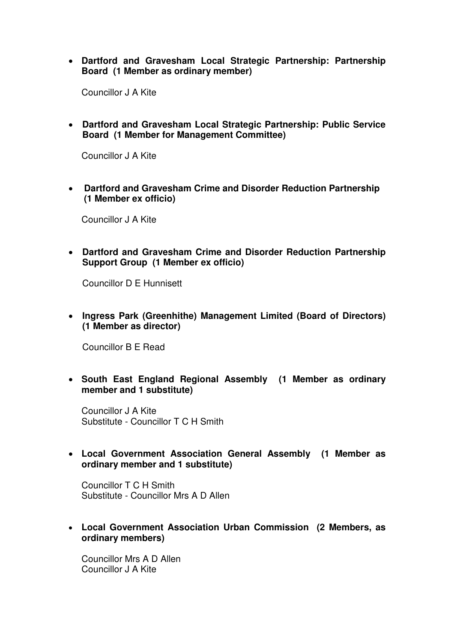• **Dartford and Gravesham Local Strategic Partnership: Partnership Board (1 Member as ordinary member)** 

Councillor J A Kite

• **Dartford and Gravesham Local Strategic Partnership: Public Service Board (1 Member for Management Committee)** 

Councillor J A Kite

• **Dartford and Gravesham Crime and Disorder Reduction Partnership (1 Member ex officio)**

Councillor J A Kite

• **Dartford and Gravesham Crime and Disorder Reduction Partnership Support Group (1 Member ex officio)** 

Councillor D E Hunnisett

• **Ingress Park (Greenhithe) Management Limited (Board of Directors) (1 Member as director)** 

Councillor B E Read

• **South East England Regional Assembly (1 Member as ordinary member and 1 substitute)** 

Councillor J A Kite Substitute - Councillor T C H Smith

• **Local Government Association General Assembly (1 Member as ordinary member and 1 substitute)** 

Councillor T C H Smith Substitute - Councillor Mrs A D Allen

• **Local Government Association Urban Commission (2 Members, as ordinary members)** 

Councillor Mrs A D Allen Councillor J A Kite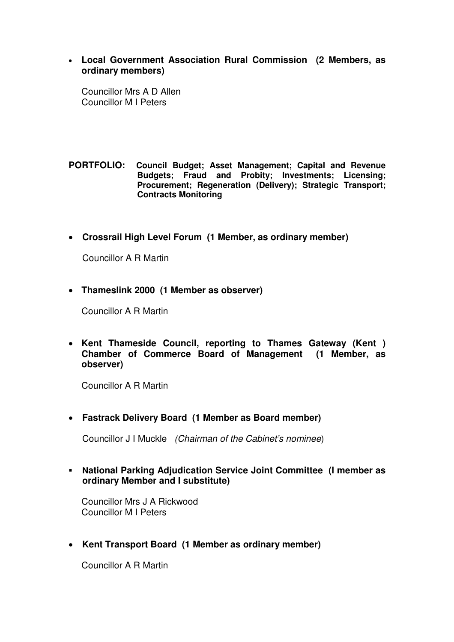• **Local Government Association Rural Commission (2 Members, as ordinary members)** 

Councillor Mrs A D Allen Councillor M I Peters

**PORTFOLIO: Council Budget; Asset Management; Capital and Revenue Budgets; Fraud and Probity; Investments; Licensing; Procurement; Regeneration (Delivery); Strategic Transport; Contracts Monitoring**

• **Crossrail High Level Forum (1 Member, as ordinary member)** 

Councillor A R Martin

• **Thameslink 2000 (1 Member as observer)** 

Councillor A R Martin

• **Kent Thameside Council, reporting to Thames Gateway (Kent ) Chamber of Commerce Board of Management (1 Member, as observer)**

Councillor A R Martin

• **Fastrack Delivery Board (1 Member as Board member)** 

Councillor J I Muckle (Chairman of the Cabinet's nominee)

 **National Parking Adjudication Service Joint Committee (I member as ordinary Member and I substitute)**

Councillor Mrs J A Rickwood Councillor M I Peters

• **Kent Transport Board (1 Member as ordinary member)**

Councillor A R Martin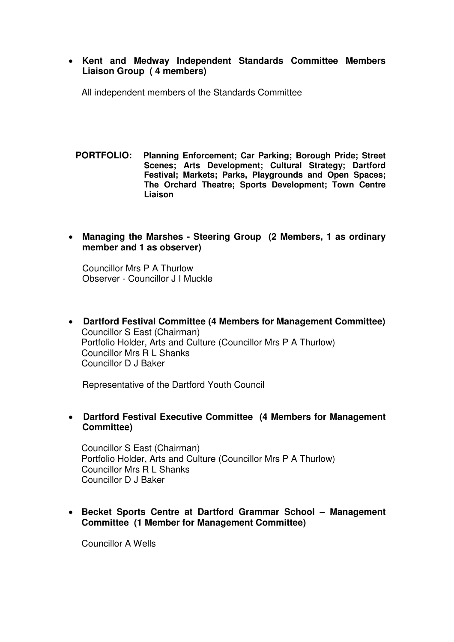• **Kent and Medway Independent Standards Committee Members Liaison Group ( 4 members)** 

All independent members of the Standards Committee

- **PORTFOLIO: Planning Enforcement; Car Parking; Borough Pride; Street Scenes; Arts Development; Cultural Strategy; Dartford Festival; Markets; Parks, Playgrounds and Open Spaces; The Orchard Theatre; Sports Development; Town Centre Liaison**
- **Managing the Marshes Steering Group (2 Members, 1 as ordinary member and 1 as observer)**

Councillor Mrs P A Thurlow Observer - Councillor J I Muckle

• **Dartford Festival Committee (4 Members for Management Committee)** Councillor S East (Chairman) Portfolio Holder, Arts and Culture (Councillor Mrs P A Thurlow) Councillor Mrs R L Shanks Councillor D J Baker

Representative of the Dartford Youth Council

## • **Dartford Festival Executive Committee (4 Members for Management Committee)**

Councillor S East (Chairman) Portfolio Holder, Arts and Culture (Councillor Mrs P A Thurlow) Councillor Mrs R L Shanks Councillor D J Baker

# • **Becket Sports Centre at Dartford Grammar School – Management Committee (1 Member for Management Committee)**

Councillor A Wells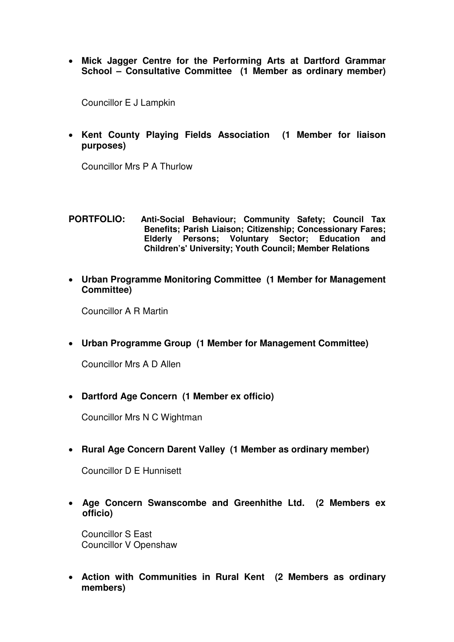• **Mick Jagger Centre for the Performing Arts at Dartford Grammar School – Consultative Committee (1 Member as ordinary member)**

Councillor E J Lampkin

• **Kent County Playing Fields Association (1 Member for liaison purposes)** 

Councillor Mrs P A Thurlow

### **PORTFOLIO: Anti-Social Behaviour; Community Safety; Council Tax Benefits; Parish Liaison; Citizenship; Concessionary Fares; Elderly Persons; Voluntary Sector; Education and Children's' University; Youth Council; Member Relations**

• **Urban Programme Monitoring Committee (1 Member for Management Committee)** 

Councillor A R Martin

• **Urban Programme Group (1 Member for Management Committee)** 

Councillor Mrs A D Allen

• **Dartford Age Concern (1 Member ex officio)** 

Councillor Mrs N C Wightman

• **Rural Age Concern Darent Valley (1 Member as ordinary member)**

Councillor D E Hunnisett

• **Age Concern Swanscombe and Greenhithe Ltd. (2 Members ex officio)**

Councillor S East Councillor V Openshaw

• **Action with Communities in Rural Kent (2 Members as ordinary members)**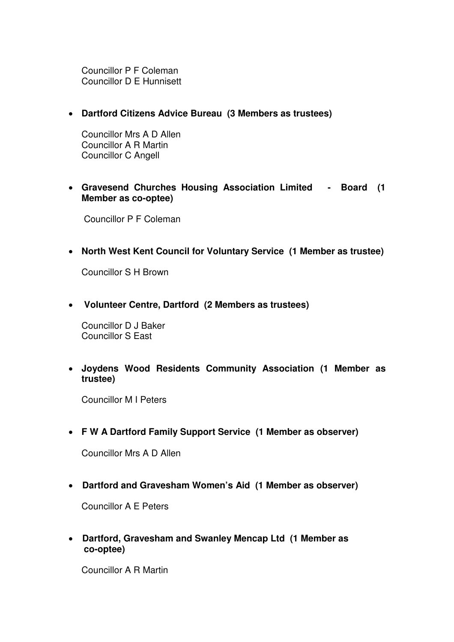Councillor P F Coleman Councillor D E Hunnisett

• **Dartford Citizens Advice Bureau (3 Members as trustees)** 

Councillor Mrs A D Allen Councillor A R Martin Councillor C Angell

• **Gravesend Churches Housing Association Limited - Board (1 Member as co-optee)** 

Councillor P F Coleman

• **North West Kent Council for Voluntary Service (1 Member as trustee)** 

Councillor S H Brown

• **Volunteer Centre, Dartford (2 Members as trustees)** 

Councillor D J Baker Councillor S East

• **Joydens Wood Residents Community Association (1 Member as trustee)** 

Councillor M I Peters

• **F W A Dartford Family Support Service (1 Member as observer)**

Councillor Mrs A D Allen

• **Dartford and Gravesham Women's Aid (1 Member as observer)** 

Councillor A E Peters

• **Dartford, Gravesham and Swanley Mencap Ltd (1 Member as co-optee)** 

Councillor A R Martin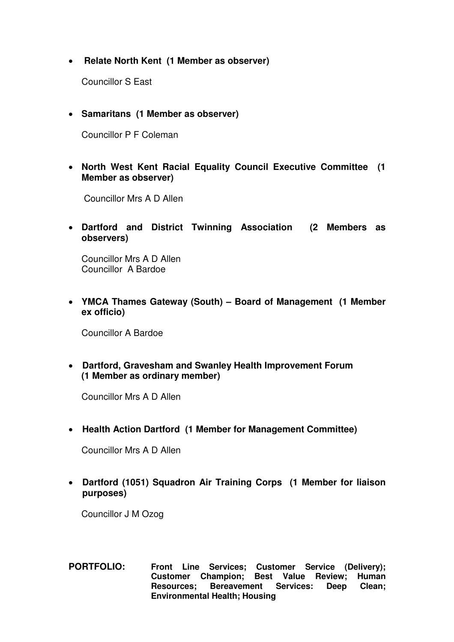# • **Relate North Kent (1 Member as observer)**

Councillor S East

• **Samaritans (1 Member as observer)** 

Councillor P F Coleman

• **North West Kent Racial Equality Council Executive Committee (1 Member as observer)** 

Councillor Mrs A D Allen

• **Dartford and District Twinning Association (2 Members as observers)** 

Councillor Mrs A D Allen Councillor A Bardoe

• **YMCA Thames Gateway (South) – Board of Management (1 Member ex officio)**

Councillor A Bardoe

• **Dartford, Gravesham and Swanley Health Improvement Forum (1 Member as ordinary member)** 

Councillor Mrs A D Allen

• **Health Action Dartford (1 Member for Management Committee)** 

Councillor Mrs A D Allen

• **Dartford (1051) Squadron Air Training Corps (1 Member for liaison purposes)** 

Councillor J M Ozog

**PORTFOLIO: Front Line Services; Customer Service (Delivery); Customer Champion; Best Value Review; Human Resources; Bereavement Services: Deep Clean; Environmental Health; Housing**